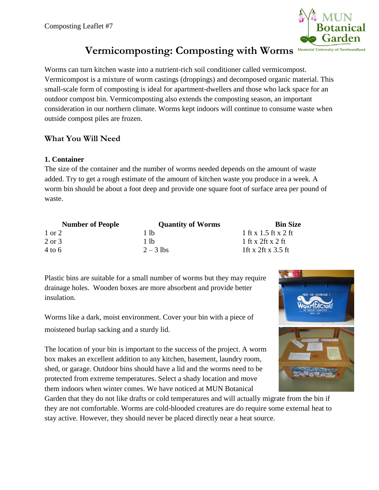

# **Vermicomposting: Composting with Worms**

Worms can turn kitchen waste into a nutrient-rich soil conditioner called vermicompost. Vermicompost is a mixture of worm castings (droppings) and decomposed organic material. This small-scale form of composting is ideal for apartment-dwellers and those who lack space for an outdoor compost bin. Vermicomposting also extends the composting season, an important consideration in our northern climate. Worms kept indoors will continue to consume waste when outside compost piles are frozen.

# **What You Will Need**

#### **1. Container**

The size of the container and the number of worms needed depends on the amount of waste added. Try to get a rough estimate of the amount of kitchen waste you produce in a week. A worm bin should be about a foot deep and provide one square foot of surface area per pound of waste.

| <b>Number of People</b> | <b>Quantity of Worms</b> | <b>Bin Size</b>      |
|-------------------------|--------------------------|----------------------|
| 1 or 2                  | 1 lb                     | 1 ft x 1.5 ft x 2 ft |
| 2 or 3                  | 1 lb                     | 1 ft x 2ft x 2 ft    |
| $4 \text{ to } 6$       | $2 - 3$ lbs              | 1ft x 2ft x 3.5 ft   |

Plastic bins are suitable for a small number of worms but they may require drainage holes. Wooden boxes are more absorbent and provide better insulation.

Worms like a dark, moist environment. Cover your bin with a piece of moistened burlap sacking and a sturdy lid.

The location of your bin is important to the success of the project. A worm box makes an excellent addition to any kitchen, basement, laundry room, shed, or garage. Outdoor bins should have a lid and the worms need to be protected from extreme temperatures. Select a shady location and move them indoors when winter comes. We have noticed at MUN Botanical

Garden that they do not like drafts or cold temperatures and will actually migrate from the bin if they are not comfortable. Worms are cold-blooded creatures are do require some external heat to stay active. However, they should never be placed directly near a heat source.

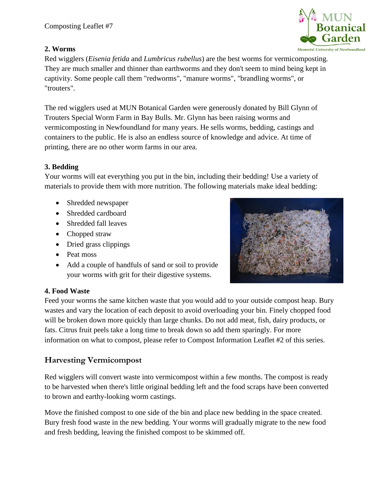# **2. Worms**

Red wigglers (*Eisenia fetida* and *Lumbricus rubellus*) are the best worms for vermicomposting. They are much smaller and thinner than earthworms and they don't seem to mind being kept in captivity. Some people call them "redworms", "manure worms", "brandling worms", or "trouters".

The red wigglers used at MUN Botanical Garden were generously donated by Bill Glynn of Trouters Special Worm Farm in Bay Bulls. Mr. Glynn has been raising worms and vermicomposting in Newfoundland for many years. He sells worms, bedding, castings and containers to the public. He is also an endless source of knowledge and advice. At time of printing, there are no other worm farms in our area.

# **3. Bedding**

Your worms will eat everything you put in the bin, including their bedding! Use a variety of materials to provide them with more nutrition. The following materials make ideal bedding:

- Shredded newspaper
- Shredded cardboard
- Shredded fall leaves
- Chopped straw
- Dried grass clippings
- Peat moss
- Add a couple of handfuls of sand or soil to provide your worms with grit for their digestive systems.



Feed your worms the same kitchen waste that you would add to your outside compost heap. Bury wastes and vary the location of each deposit to avoid overloading your bin. Finely chopped food will be broken down more quickly than large chunks. Do not add meat, fish, dairy products, or fats. Citrus fruit peels take a long time to break down so add them sparingly. For more information on what to compost, please refer to Compost Information Leaflet #2 of this series.

# **Harvesting Vermicompost**

Red wigglers will convert waste into vermicompost within a few months. The compost is ready to be harvested when there's little original bedding left and the food scraps have been converted to brown and earthy-looking worm castings.

Move the finished compost to one side of the bin and place new bedding in the space created. Bury fresh food waste in the new bedding. Your worms will gradually migrate to the new food and fresh bedding, leaving the finished compost to be skimmed off.



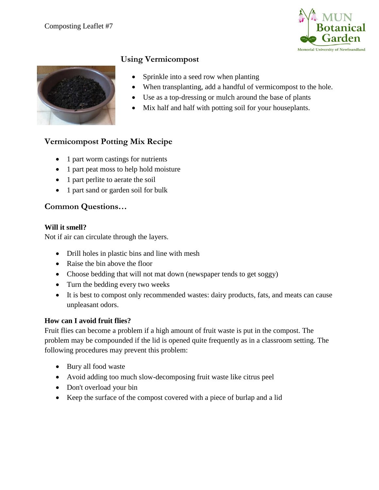



#### **Using Vermicompost**

- Sprinkle into a seed row when planting
- When transplanting, add a handful of vermicompost to the hole.
- Use as a top-dressing or mulch around the base of plants
- Mix half and half with potting soil for your houseplants.

# **Vermicompost Potting Mix Recipe**

- 1 part worm castings for nutrients
- 1 part peat moss to help hold moisture
- 1 part perlite to aerate the soil
- 1 part sand or garden soil for bulk

#### **Common Questions…**

#### **Will it smell?**

Not if air can circulate through the layers.

- Drill holes in plastic bins and line with mesh
- Raise the bin above the floor
- Choose bedding that will not mat down (newspaper tends to get soggy)
- Turn the bedding every two weeks
- It is best to compost only recommended wastes: dairy products, fats, and meats can cause unpleasant odors.

#### **How can I avoid fruit flies?**

Fruit flies can become a problem if a high amount of fruit waste is put in the compost. The problem may be compounded if the lid is opened quite frequently as in a classroom setting. The following procedures may prevent this problem:

- Bury all food waste
- Avoid adding too much slow-decomposing fruit waste like citrus peel
- Don't overload your bin
- Keep the surface of the compost covered with a piece of burlap and a lid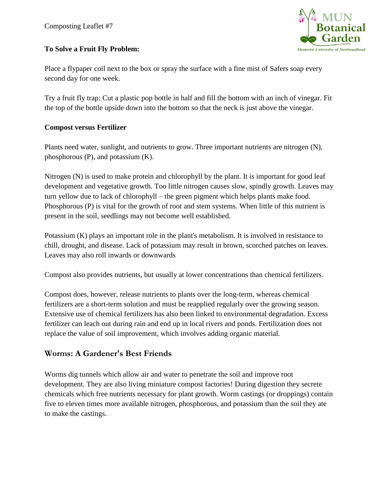#### **To Solve a Fruit Fly Problem:**

**Memorial University of Newfoundland** 

Place a flypaper coil next to the box or spray the surface with a fine mist of Safers soap every second day for one week.

Try a fruit fly trap: Cut a plastic pop bottle in half and fill the bottom with an inch of vinegar. Fit the top of the bottle upside down into the bottom so that the neck is just above the vinegar.

#### **Compost versus Fertilizer**

Plants need water, sunlight, and nutrients to grow. Three important nutrients are nitrogen (N), phosphorous (P), and potassium (K).

Nitrogen (N) is used to make protein and chlorophyll by the plant. It is important for good leaf development and vegetative growth. Too little nitrogen causes slow, spindly growth. Leaves may turn yellow due to lack of chlorophyll – the green pigment which helps plants make food. Phosphorous (P) is vital for the growth of root and stem systems. When little of this nutrient is present in the soil, seedlings may not become well established.

Potassium (K) plays an important role in the plant's metabolism. It is involved in resistance to chill, drought, and disease. Lack of potassium may result in brown, scorched patches on leaves. Leaves may also roll inwards or downwards

Compost also provides nutrients, but usually at lower concentrations than chemical fertilizers.

Compost does, however, release nutrients to plants over the long-term, whereas chemical fertilizers are a short-term solution and must be reapplied regularly over the growing season. Extensive use of chemical fertilizers has also been linked to environmental degradation. Excess fertilizer can leach out during rain and end up in local rivers and ponds. Fertilization does not replace the value of soil improvement, which involves adding organic material.

# **Worms: A Gardener's Best Friends**

Worms dig tunnels which allow air and water to penetrate the soil and improve root development. They are also living miniature compost factories! During digestion they secrete chemicals which free nutrients necessary for plant growth. Worm castings (or droppings) contain five to eleven times more available nitrogen, phosphorous, and potassium than the soil they ate to make the castings.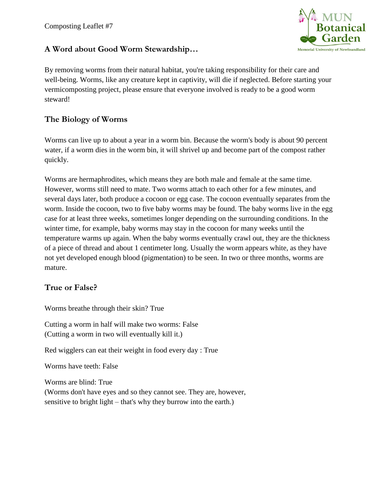

## **A Word about Good Worm Stewardship…**

By removing worms from their natural habitat, you're taking responsibility for their care and well-being. Worms, like any creature kept in captivity, will die if neglected. Before starting your vermicomposting project, please ensure that everyone involved is ready to be a good worm steward!

# **The Biology of Worms**

Worms can live up to about a year in a worm bin. Because the worm's body is about 90 percent water, if a worm dies in the worm bin, it will shrivel up and become part of the compost rather quickly.

Worms are hermaphrodites, which means they are both male and female at the same time. However, worms still need to mate. Two worms attach to each other for a few minutes, and several days later, both produce a cocoon or egg case. The cocoon eventually separates from the worm. Inside the cocoon, two to five baby worms may be found. The baby worms live in the egg case for at least three weeks, sometimes longer depending on the surrounding conditions. In the winter time, for example, baby worms may stay in the cocoon for many weeks until the temperature warms up again. When the baby worms eventually crawl out, they are the thickness of a piece of thread and about 1 centimeter long. Usually the worm appears white, as they have not yet developed enough blood (pigmentation) to be seen. In two or three months, worms are mature.

## **True or False?**

Worms breathe through their skin? True

Cutting a worm in half will make two worms: False (Cutting a worm in two will eventually kill it.)

Red wigglers can eat their weight in food every day : True

Worms have teeth: False

Worms are blind: True (Worms don't have eyes and so they cannot see. They are, however, sensitive to bright light – that's why they burrow into the earth.)